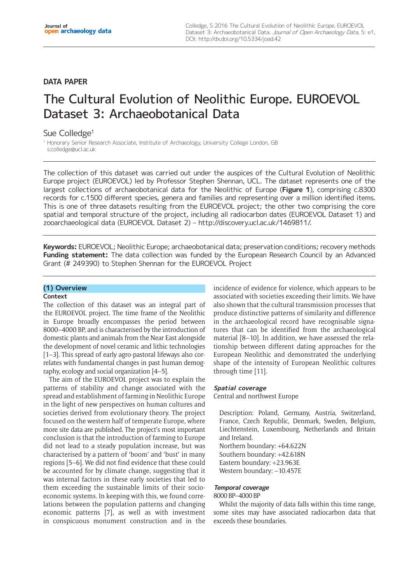# **DATA PAPER**

# The Cultural Evolution of Neolithic Europe. EUROEVOL Dataset 3: Archaeobotanical Data

## Sue Colledge<sup>1</sup>

<sup>1</sup> Honorary Senior Research Associate, Institute of Archaeology, University College London, GB [s.colledge@ucl.ac.uk](mailto:s.colledge@ucl.ac.uk)

The collection of this dataset was carried out under the auspices of the Cultural Evolution of Neolithic Europe project (EUROEVOL) led by Professor Stephen Shennan, UCL. The dataset represents one of the largest collections of archaeobotanical data for the Neolithic of Europe (**Figure 1**), comprising c.8300 records for c.1500 different species, genera and families and representing over a million identified items. This is one of three datasets resulting from the EUROEVOL project; the other two comprising the core spatial and temporal structure of the project, including all radiocarbon dates (EUROEVOL Dataset 1) and zooarchaeological data (EUROEVOL Dataset 2) –<http://discovery.ucl.ac.uk/1469811/>.

**Keywords:** EUROEVOL; Neolithic Europe; archaeobotanical data; preservation conditions; recovery methods **Funding statement:** The data collection was funded by the European Research Council by an Advanced Grant (# 249390) to Stephen Shennan for the EUROEVOL Project

## **(1) Overview**

## **Context**

The collection of this dataset was an integral part of the EUROEVOL project. The time frame of the Neolithic in Europe broadly encompasses the period between 8000–4000 BP, and is characterised by the introduction of domestic plants and animals from the Near East alongside the development of novel ceramic and lithic technologies [1–3]. This spread of early agro-pastoral lifeways also correlates with fundamental changes in past human demography, ecology and social organization [4–5].

The aim of the EUROEVOL project was to explain the patterns of stability and change associated with the spread and establishment of farming in Neolithic Europe in the light of new perspectives on human cultures and societies derived from evolutionary theory. The project focused on the western half of temperate Europe, where more site data are published. The project's most important conclusion is that the introduction of farming to Europe did not lead to a steady population increase, but was characterised by a pattern of 'boom' and 'bust' in many regions [5–6]. We did not find evidence that these could be accounted for by climate change, suggesting that it was internal factors in these early societies that led to them exceeding the sustainable limits of their socioeconomic systems. In keeping with this, we found correlations between the population patterns and changing economic patterns [7], as well as with investment in conspicuous monument construction and in the incidence of evidence for violence, which appears to be associated with societies exceeding their limits. We have also shown that the cultural transmission processes that produce distinctive patterns of similarity and difference in the archaeological record have recognisable signatures that can be identified from the archaeological material [8–10]. In addition, we have assessed the relationship between different dating approaches for the European Neolithic and demonstrated the underlying shape of the intensity of European Neolithic cultures through time [11].

## **Spatial coverage**

Central and northwest Europe

Description: Poland, Germany, Austria, Switzerland, France, Czech Republic, Denmark, Sweden, Belgium, Liechtenstein, Luxembourg, Netherlands and Britain and Ireland. Northern boundary: +64.622N

Southern boundary: +42.618N Eastern boundary: +23.963E Western boundary: -10.457E

## **Temporal coverage**

## 8000 BP–4000 BP

Whilst the majority of data falls within this time range, some sites may have associated radiocarbon data that exceeds these boundaries.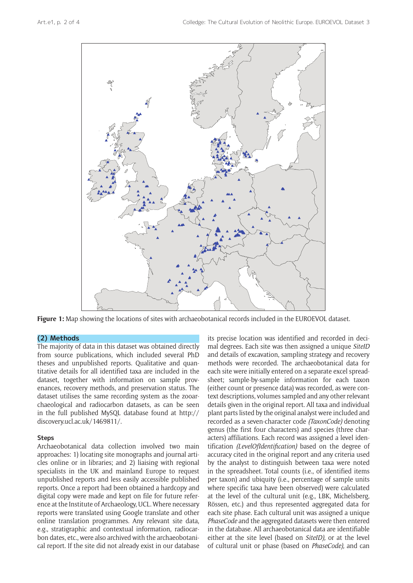

**Figure 1:** Map showing the locations of sites with archaeobotanical records included in the EUROEVOL dataset.

## **(2) Methods**

The majority of data in this dataset was obtained directly from source publications, which included several PhD theses and unpublished reports. Qualitative and quantitative details for all identified taxa are included in the dataset, together with information on sample provenances, recovery methods, and preservation status. The dataset utilises the same recording system as the zooarchaeological and radiocarbon datasets, as can be seen in the full published MySQL database found at [http://](http://discovery.ucl.ac.uk/1469811/) [discovery.ucl.ac.uk/1469811/.](http://discovery.ucl.ac.uk/1469811/)

## **Steps**

Archaeobotanical data collection involved two main approaches: 1) locating site monographs and journal articles online or in libraries; and 2) liaising with regional specialists in the UK and mainland Europe to request unpublished reports and less easily accessible published reports. Once a report had been obtained a hardcopy and digital copy were made and kept on file for future reference at the Institute of Archaeology, UCL. Where necessary reports were translated using Google translate and other online translation programmes. Any relevant site data, e.g., stratigraphic and contextual information, radiocarbon dates, etc., were also archived with the archaeobotanical report. If the site did not already exist in our database

its precise location was identified and recorded in decimal degrees. Each site was then assigned a unique *SiteID*  and details of excavation, sampling strategy and recovery methods were recorded. The archaeobotanical data for each site were initially entered on a separate excel spreadsheet; sample-by-sample information for each taxon (either count or presence data) was recorded, as were context descriptions, volumes sampled and any other relevant details given in the original report. All taxa and individual plant parts listed by the original analyst were included and recorded as a seven-character code *(TaxonCode)* denoting genus (the first four characters) and species (three characters) affiliations. Each record was assigned a level identification *(LevelOfIdentification)* based on the degree of accuracy cited in the original report and any criteria used by the analyst to distinguish between taxa were noted in the spreadsheet. Total counts (i.e., of identified items per taxon) and ubiquity (i.e., percentage of sample units where specific taxa have been observed) were calculated at the level of the cultural unit (e.g., LBK, Michelsberg, Rössen, etc.) and thus represented aggregated data for each site phase. Each cultural unit was assigned a unique *PhaseCode* and the aggregated datasets were then entered in the database. All archaeobotanical data are identifiable either at the site level (based on *SiteID),* or at the level of cultural unit or phase (based on *PhaseCode),* and can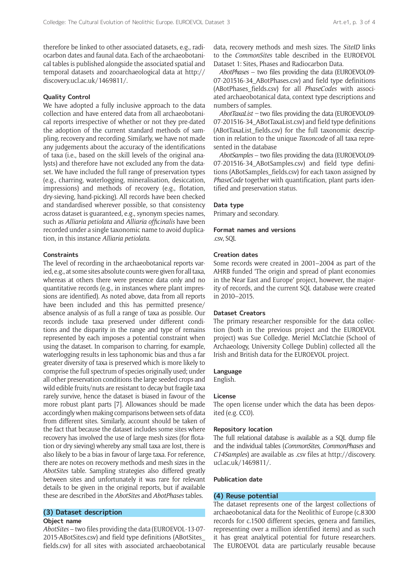therefore be linked to other associated datasets, e.g., radiocarbon dates and faunal data. Each of the archaeobotanical tables is published alongside the associated spatial and temporal datasets and zooarchaeological data at [http://](http://discovery.ucl.ac.uk/1469811/) [discovery.ucl.ac.uk/1469811/](http://discovery.ucl.ac.uk/1469811/).

#### **Quality Control**

We have adopted a fully inclusive approach to the data collection and have entered data from all archaeobotanical reports irrespective of whether or not they pre-dated the adoption of the current standard methods of sampling, recovery and recording. Similarly, we have not made any judgements about the accuracy of the identifications of taxa (i.e., based on the skill levels of the original analysts) and therefore have not excluded any from the dataset. We have included the full range of preservation types (e.g., charring, waterlogging, mineralisation, desiccation, impressions) and methods of recovery (e.g., flotation, dry-sieving, hand-picking). All records have been checked and standardised wherever possible, so that consistency across dataset is guaranteed, e.g., synonym species names, such as *Alliaria petiolata* and *Alliaria officinalis* have been recorded under a single taxonomic name to avoid duplication, in this instance *Alliaria petiolata.*

## **Constraints**

The level of recording in the archaeobotanical reports varied, e.g., at some sites absolute counts were given for all taxa, whereas at others there were presence data only and no quantitative records (e.g., in instances where plant impressions are identified). As noted above, data from all reports have been included and this has permitted presence/ absence analysis of as full a range of taxa as possible. Our records include taxa preserved under different conditions and the disparity in the range and type of remains represented by each imposes a potential constraint when using the dataset. In comparison to charring, for example, waterlogging results in less taphonomic bias and thus a far greater diversity of taxa is preserved which is more likely to comprise the full spectrum of species originally used; under all other preservation conditions the large seeded crops and wild edible fruits/nuts are resistant to decay but fragile taxa rarely survive, hence the dataset is biased in favour of the more robust plant parts [7]. Allowances should be made accordingly when making comparisons between sets of data from different sites. Similarly, account should be taken of the fact that because the dataset includes some sites where recovery has involved the use of large mesh sizes (for flotation or dry sieving) whereby any small taxa are lost, there is also likely to be a bias in favour of large taxa. For reference, there are notes on recovery methods and mesh sizes in the *AbotSites* table. Sampling strategies also differed greatly between sites and unfortunately it was rare for relevant details to be given in the original reports, but if available these are described in the *AbotSites* and *AbotPhases* tables.

## **(3) Dataset description**

#### **Object name**

*AbotSites* – two files providing the data (EUROEVOL-13-07- 2015-ABotSites.csv) and field type definitions (ABotSites\_ fields.csv) for all sites with associated archaeobotanical data, recovery methods and mesh sizes. The *SiteID* links to the *CommonSites* table described in the EUROEVOL Dataset 1: Sites, Phases and Radiocarbon Data.

*AbotPhases* – two files providing the data (EUROEVOL09- 07-201516-34\_ABotPhases.csv) and field type definitions (ABotPhases\_fields.csv) for all *PhaseCodes* with associated archaeobotanical data, context type descriptions and numbers of samples.

*AbotTaxaList –* two files providing the data (EUROEVOL09- 07-201516-34\_ABotTaxaList.csv) and field type definitions (ABotTaxaList\_fields.csv) for the full taxonomic description in relation to the unique *Taxoncode* of all taxa represented in the database

*AbotSamples* – two files providing the data (EUROEVOL09- 07-201516-34\_ABotSamples.csv) and field type definitions (ABotSamples\_fields.csv) for each taxon assigned by *PhaseCode* together with quantification, plant parts identified and preservation status.

#### **Data type**

Primary and secondary.

# **Format names and versions**

.csv, SQL

## **Creation dates**

Some records were created in 2001–2004 as part of the AHRB funded 'The origin and spread of plant economies in the Near East and Europe' project, however, the majority of records, and the current SQL database were created in 2010–2015.

## **Dataset Creators**

The primary researcher responsible for the data collection (both in the previous project and the EUROEVOL project) was Sue Colledge. Meriel McClatchie (School of Archaeology, University College Dublin) collected all the Irish and British data for the EUROEVOL project.

#### **Language**

English.

## **License**

The open license under which the data has been deposited (e.g. CC0).

## **Repository location**

The full relational database is available as a SQL dump file and the individual tables (*CommonSites, CommonPhases* and *C14Samples*) are available as .csv files at [http://discovery.](http://discovery.ucl.ac.uk/1469811/) [ucl.ac.uk/1469811/](http://discovery.ucl.ac.uk/1469811/).

#### **Publication date**

## **(4) Reuse potential**

The dataset represents one of the largest collections of archaeobotanical data for the Neolithic of Europe (c.8300 records for c.1500 different species, genera and families, representing over a million identified items) and as such it has great analytical potential for future researchers. The EUROEVOL data are particularly reusable because